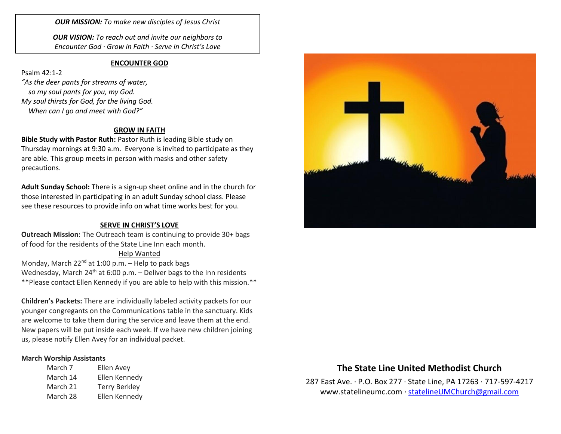*OUR MISSION: To make new disciples of Jesus Christ*

*OUR VISION: To reach out and invite our neighbors to Encounter God · Grow in Faith · Serve in Christ's Love*

#### **ENCOUNTER GOD**

Psalm 42:1-2 *"As the deer pants for streams of water, so my soul pants for you, my God. My soul thirsts for God, for the living God. When can I go and meet with God?"*

#### **GROW IN FAITH**

**Bible Study with Pastor Ruth:** Pastor Ruth is leading Bible study on Thursday mornings at 9:30 a.m. Everyone is invited to participate as they are able. This group meets in person with masks and other safety precautions.

**Adult Sunday School:** There is a sign-up sheet online and in the church for those interested in participating in an adult Sunday school class. Please see these resources to provide info on what time works best for you.

#### **SERVE IN CHRIST'S LOVE**

**Outreach Mission:** The Outreach team is continuing to provide 30+ bags of food for the residents of the State Line Inn each month.

#### Help Wanted

Monday, March  $22^{nd}$  at 1:00 p.m. – Help to pack bags Wednesday, March  $24^{th}$  at 6:00 p.m. – Deliver bags to the Inn residents \*\*Please contact Ellen Kennedy if you are able to help with this mission.\*\*

**Children's Packets:** There are individually labeled activity packets for our younger congregants on the Communications table in the sanctuary. Kids are welcome to take them during the service and leave them at the end. New papers will be put inside each week. If we have new children joining us, please notify Ellen Avey for an individual packet.

#### **March Worship Assistants**

| March 7  | Ellen Avey           |
|----------|----------------------|
| March 14 | Ellen Kennedy        |
| March 21 | <b>Terry Berkley</b> |
| March 28 | Ellen Kennedy        |



# **The State Line United Methodist Church**

287 East Ave. · P.O. Box 277 · State Line, PA 17263 · 717-597-4217 [www.statelineumc.com](http://www.statelineumc.com/) · [statelineUMChurch@gmail.com](mailto:statelineUMChurch@gmail.com)